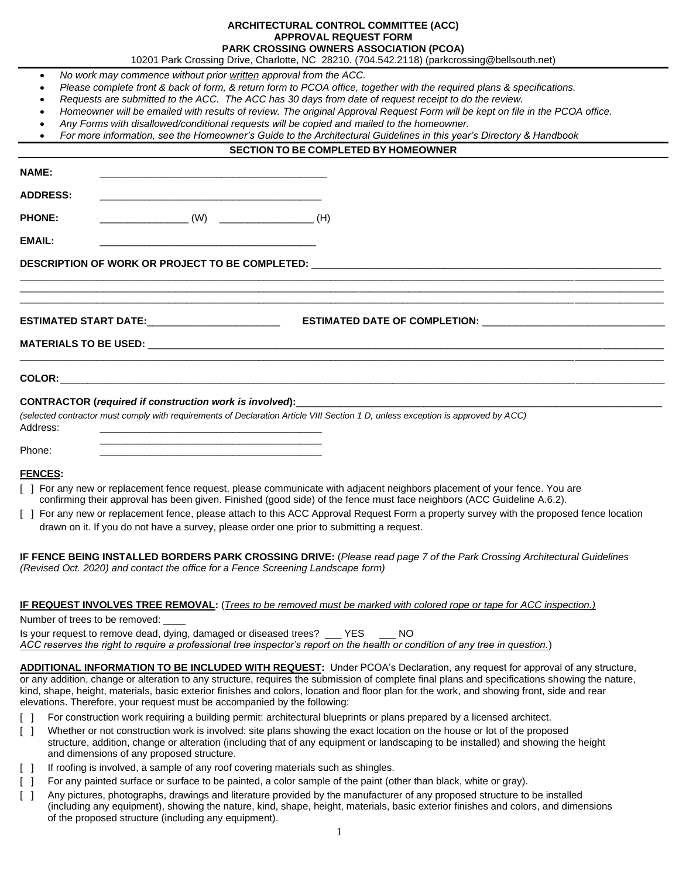## **ARCHITECTURAL CONTROL COMMITTEE (ACC) APPROVAL REQUEST FORM PARK CROSSING OWNERS ASSOCIATION (PCOA)**

10201 Park Crossing Drive, Charlotte, NC 28210. (704.542.2118) [\(parkcrossing@bellsouth.net\)](mailto:prkcxing@aol.com)

- *No work may commence without prior written approval from the ACC.*
- *Please complete front & back of form, & return form to PCOA office, together with the required plans & specifications.*
- *Requests are submitted to the ACC. The ACC has 30 days from date of request receipt to do the review.*
- *Homeowner will be emailed with results of review. The original Approval Request Form will be kept on file in the PCOA office.*
- *Any Forms with disallowed/conditional requests will be copied and mailed to the homeowner.*

|  |  |  | For more information, see the Homeowner's Guide to the Architectural Guidelines in this year's Directory & Handbook |  |  |  |
|--|--|--|---------------------------------------------------------------------------------------------------------------------|--|--|--|
|--|--|--|---------------------------------------------------------------------------------------------------------------------|--|--|--|

## **SECTION TO BE COMPLETED BY HOMEOWNER**

| <b>NAME:</b>    | <u> 1980 - Johann Stein, marwolaethau a bhann an t-Amhain an t-Amhain an t-Amhain an t-Amhain an t-Amhain an t-A</u> |                                                                                                                                  |  |
|-----------------|----------------------------------------------------------------------------------------------------------------------|----------------------------------------------------------------------------------------------------------------------------------|--|
| <b>ADDRESS:</b> |                                                                                                                      |                                                                                                                                  |  |
| <b>PHONE:</b>   |                                                                                                                      |                                                                                                                                  |  |
| <b>EMAIL:</b>   | <u> 1980 - Johann Stein, marwolaethau a bhann an t-Amhain an t-Amhain an t-Amhain an t-Amhain an t-Amhain an t-A</u> |                                                                                                                                  |  |
|                 |                                                                                                                      |                                                                                                                                  |  |
|                 |                                                                                                                      |                                                                                                                                  |  |
|                 |                                                                                                                      |                                                                                                                                  |  |
|                 |                                                                                                                      |                                                                                                                                  |  |
|                 |                                                                                                                      |                                                                                                                                  |  |
|                 |                                                                                                                      |                                                                                                                                  |  |
| Address:        | <u> 1989 - Johann Stein, mars and de Brandenburg and de Brandenburg and de Brandenburg and de Brandenburg and de</u> | (selected contractor must comply with requirements of Declaration Article VIII Section 1 D, unless exception is approved by ACC) |  |
| Phone:          | <u> 1989 - Jan James James James James James James James James James James James James James James James James J</u> |                                                                                                                                  |  |

# **FENCES:**

- [ ] For any new or replacement fence request, please communicate with adjacent neighbors placement of your fence. You are confirming their approval has been given. Finished (good side) of the fence must face neighbors (ACC Guideline A.6.2).
- [ ] For any new or replacement fence, please attach to this ACC Approval Request Form a property survey with the proposed fence location drawn on it. If you do not have a survey, please order one prior to submitting a request.

**IF FENCE BEING INSTALLED BORDERS PARK CROSSING DRIVE:** (*Please read page 7 of the Park Crossing Architectural Guidelines (Revised Oct. 2020) and contact the office for a Fence Screening Landscape form)*

#### **IF REQUEST INVOLVES TREE REMOVAL:** (*Trees to be removed must be marked with colored rope or tape for ACC inspection.)*

Number of trees to be removed: Is your request to remove dead, dying, damaged or diseased trees? \_\_\_ YES \_\_\_ NO *ACC reserves the right to require a professional tree inspector's report on the health or condition of any tree in question.*)

**ADDITIONAL INFORMATION TO BE INCLUDED WITH REQUEST:** Under PCOA's Declaration, any request for approval of any structure, or any addition, change or alteration to any structure, requires the submission of complete final plans and specifications showing the nature, kind, shape, height, materials, basic exterior finishes and colors, location and floor plan for the work, and showing front, side and rear elevations. Therefore, your request must be accompanied by the following:

- [ ] For construction work requiring a building permit: architectural blueprints or plans prepared by a licensed architect.
- [ ] Whether or not construction work is involved: site plans showing the exact location on the house or lot of the proposed structure, addition, change or alteration (including that of any equipment or landscaping to be installed) and showing the height and dimensions of any proposed structure.
- [ ] If roofing is involved, a sample of any roof covering materials such as shingles.
- [ ] For any painted surface or surface to be painted, a color sample of the paint (other than black, white or gray).
- [ ] Any pictures, photographs, drawings and literature provided by the manufacturer of any proposed structure to be installed (including any equipment), showing the nature, kind, shape, height, materials, basic exterior finishes and colors, and dimensions of the proposed structure (including any equipment).